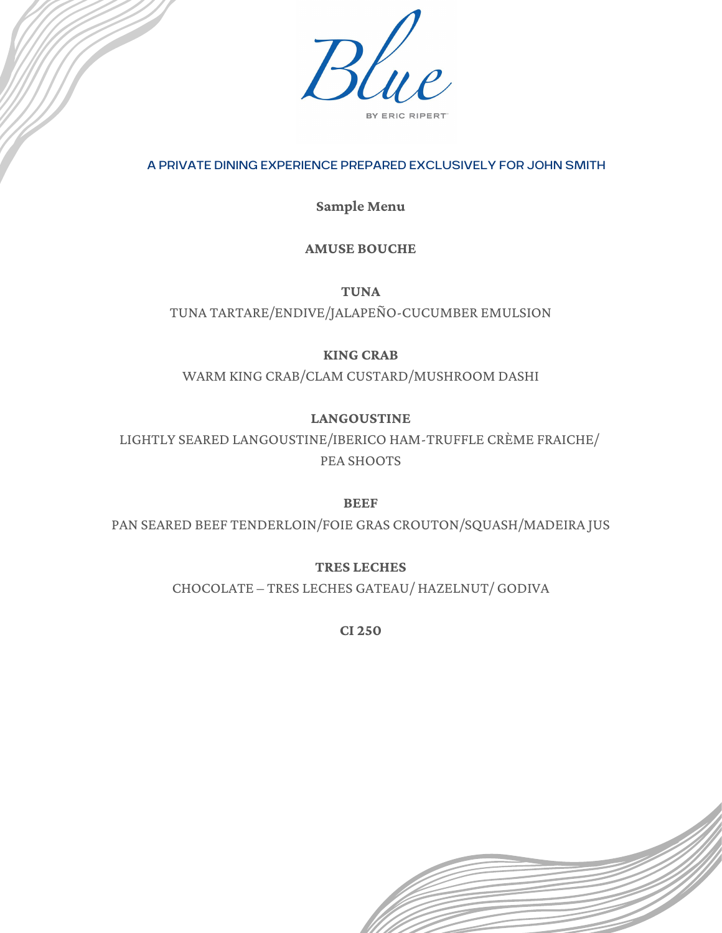

## A PRIVATE DINING EXPERIENCE PREPARED EXCLUSIVELY FOR JOHN SMITH

**Sample Menu**

## **AMUSE BOUCHE**

**TUNA**

TUNA TARTARE/ENDIVE/JALAPEÑO-CUCUMBER EMULSION

## **KING CRAB**

WARM KING CRAB/CLAM CUSTARD/MUSHROOM DASHI

# **LANGOUSTINE**

LIGHTLY SEARED LANGOUSTINE/IBERICO HAM-TRUFFLE CRÈME FRAICHE/ PEA SHOOTS

## **BEEF**

PAN SEARED BEEF TENDERLOIN/FOIE GRAS CROUTON/SQUASH/MADEIRA JUS

**TRES LECHES**

CHOCOLATE – TRES LECHES GATEAU/ HAZELNUT/ GODIVA

**CI 250**